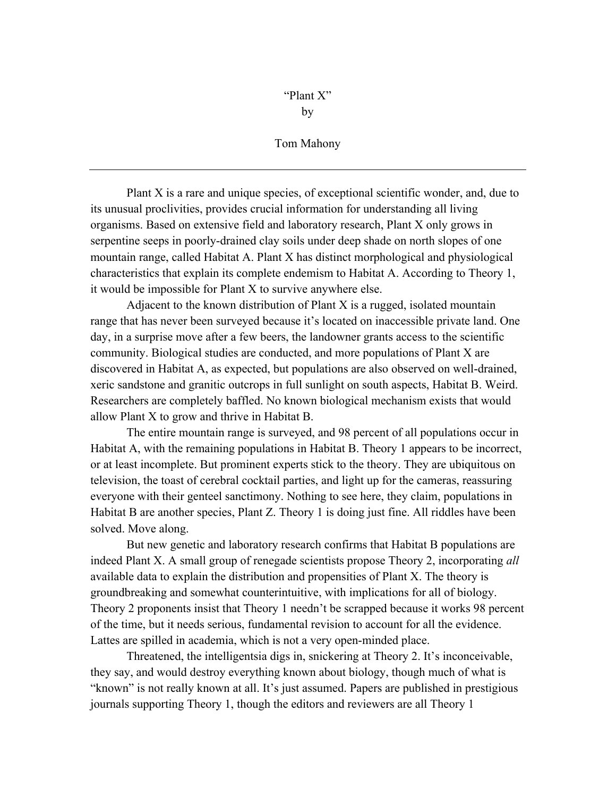by

## Tom Mahony

Plant X is a rare and unique species, of exceptional scientific wonder, and, due to its unusual proclivities, provides crucial information for understanding all living organisms. Based on extensive field and laboratory research, Plant X only grows in serpentine seeps in poorly-drained clay soils under deep shade on north slopes of one mountain range, called Habitat A. Plant X has distinct morphological and physiological characteristics that explain its complete endemism to Habitat A. According to Theory 1, it would be impossible for Plant X to survive anywhere else.

Adjacent to the known distribution of Plant X is a rugged, isolated mountain range that has never been surveyed because it's located on inaccessible private land. One day, in a surprise move after a few beers, the landowner grants access to the scientific community. Biological studies are conducted, and more populations of Plant X are discovered in Habitat A, as expected, but populations are also observed on well-drained, xeric sandstone and granitic outcrops in full sunlight on south aspects, Habitat B. Weird. Researchers are completely baffled. No known biological mechanism exists that would allow Plant X to grow and thrive in Habitat B.

The entire mountain range is surveyed, and 98 percent of all populations occur in Habitat A, with the remaining populations in Habitat B. Theory 1 appears to be incorrect, or at least incomplete. But prominent experts stick to the theory. They are ubiquitous on television, the toast of cerebral cocktail parties, and light up for the cameras, reassuring everyone with their genteel sanctimony. Nothing to see here, they claim, populations in Habitat B are another species, Plant Z. Theory 1 is doing just fine. All riddles have been solved. Move along.

But new genetic and laboratory research confirms that Habitat B populations are indeed Plant X. A small group of renegade scientists propose Theory 2, incorporating *all* available data to explain the distribution and propensities of Plant X. The theory is groundbreaking and somewhat counterintuitive, with implications for all of biology. Theory 2 proponents insist that Theory 1 needn't be scrapped because it works 98 percent of the time, but it needs serious, fundamental revision to account for all the evidence. Lattes are spilled in academia, which is not a very open-minded place.

Threatened, the intelligentsia digs in, snickering at Theory 2. It's inconceivable, they say, and would destroy everything known about biology, though much of what is "known" is not really known at all. It's just assumed. Papers are published in prestigious journals supporting Theory 1, though the editors and reviewers are all Theory 1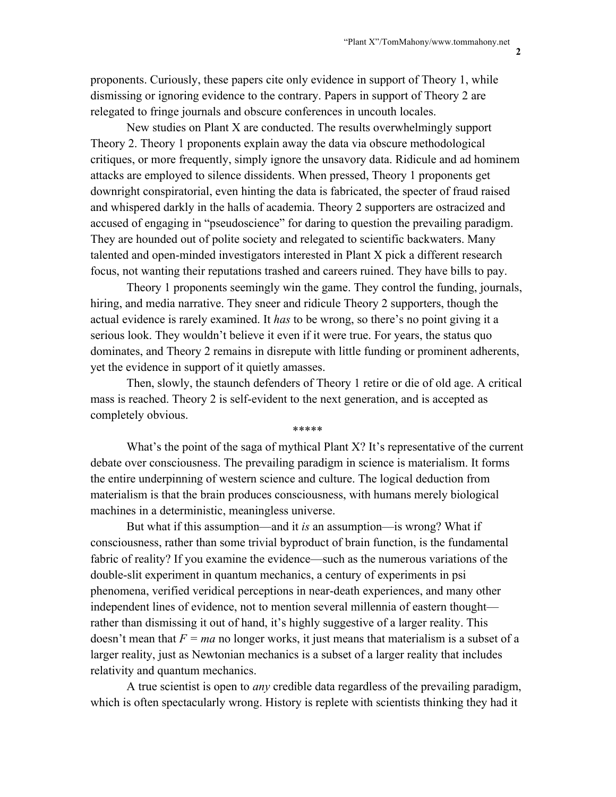proponents. Curiously, these papers cite only evidence in support of Theory 1, while dismissing or ignoring evidence to the contrary. Papers in support of Theory 2 are relegated to fringe journals and obscure conferences in uncouth locales.

New studies on Plant X are conducted. The results overwhelmingly support Theory 2. Theory 1 proponents explain away the data via obscure methodological critiques, or more frequently, simply ignore the unsavory data. Ridicule and ad hominem attacks are employed to silence dissidents. When pressed, Theory 1 proponents get downright conspiratorial, even hinting the data is fabricated, the specter of fraud raised and whispered darkly in the halls of academia. Theory 2 supporters are ostracized and accused of engaging in "pseudoscience" for daring to question the prevailing paradigm. They are hounded out of polite society and relegated to scientific backwaters. Many talented and open-minded investigators interested in Plant X pick a different research focus, not wanting their reputations trashed and careers ruined. They have bills to pay.

Theory 1 proponents seemingly win the game. They control the funding, journals, hiring, and media narrative. They sneer and ridicule Theory 2 supporters, though the actual evidence is rarely examined. It *has* to be wrong, so there's no point giving it a serious look. They wouldn't believe it even if it were true. For years, the status quo dominates, and Theory 2 remains in disrepute with little funding or prominent adherents, yet the evidence in support of it quietly amasses.

Then, slowly, the staunch defenders of Theory 1 retire or die of old age. A critical mass is reached. Theory 2 is self-evident to the next generation, and is accepted as completely obvious.

\*\*\*\*\*

What's the point of the saga of mythical Plant X? It's representative of the current debate over consciousness. The prevailing paradigm in science is materialism. It forms the entire underpinning of western science and culture. The logical deduction from materialism is that the brain produces consciousness, with humans merely biological machines in a deterministic, meaningless universe.

But what if this assumption—and it *is* an assumption—is wrong? What if consciousness, rather than some trivial byproduct of brain function, is the fundamental fabric of reality? If you examine the evidence—such as the numerous variations of the double-slit experiment in quantum mechanics, a century of experiments in psi phenomena, verified veridical perceptions in near-death experiences, and many other independent lines of evidence, not to mention several millennia of eastern thought rather than dismissing it out of hand, it's highly suggestive of a larger reality. This doesn't mean that  $F = ma$  no longer works, it just means that materialism is a subset of a larger reality, just as Newtonian mechanics is a subset of a larger reality that includes relativity and quantum mechanics.

A true scientist is open to *any* credible data regardless of the prevailing paradigm, which is often spectacularly wrong. History is replete with scientists thinking they had it